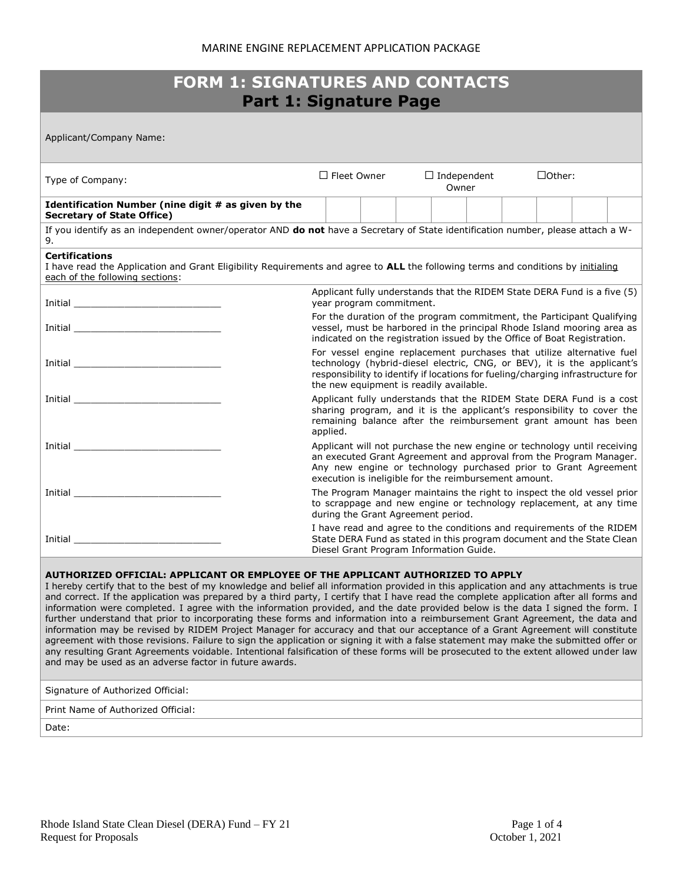| <b>FORM 1: SIGNATURES AND CONTACTS</b><br><b>Part 1: Signature Page</b>                                                                                                                                                                                                                                                                                                                                                                                                                               |                                                                                                                                                                                                                                                                                |  |                    |  |                             |  |  |               |  |  |
|-------------------------------------------------------------------------------------------------------------------------------------------------------------------------------------------------------------------------------------------------------------------------------------------------------------------------------------------------------------------------------------------------------------------------------------------------------------------------------------------------------|--------------------------------------------------------------------------------------------------------------------------------------------------------------------------------------------------------------------------------------------------------------------------------|--|--------------------|--|-----------------------------|--|--|---------------|--|--|
| Applicant/Company Name:                                                                                                                                                                                                                                                                                                                                                                                                                                                                               |                                                                                                                                                                                                                                                                                |  |                    |  |                             |  |  |               |  |  |
| Type of Company:                                                                                                                                                                                                                                                                                                                                                                                                                                                                                      |                                                                                                                                                                                                                                                                                |  | $\Box$ Fleet Owner |  | $\Box$ Independent<br>Owner |  |  | $\Box$ Other: |  |  |
| Identification Number (nine digit # as given by the<br><b>Secretary of State Office)</b>                                                                                                                                                                                                                                                                                                                                                                                                              |                                                                                                                                                                                                                                                                                |  |                    |  |                             |  |  |               |  |  |
| If you identify as an independent owner/operator AND do not have a Secretary of State identification number, please attach a W-<br>9.                                                                                                                                                                                                                                                                                                                                                                 |                                                                                                                                                                                                                                                                                |  |                    |  |                             |  |  |               |  |  |
| <b>Certifications</b><br>I have read the Application and Grant Eligibility Requirements and agree to ALL the following terms and conditions by initialing<br>each of the following sections:                                                                                                                                                                                                                                                                                                          |                                                                                                                                                                                                                                                                                |  |                    |  |                             |  |  |               |  |  |
|                                                                                                                                                                                                                                                                                                                                                                                                                                                                                                       | Applicant fully understands that the RIDEM State DERA Fund is a five (5)<br>year program commitment.                                                                                                                                                                           |  |                    |  |                             |  |  |               |  |  |
|                                                                                                                                                                                                                                                                                                                                                                                                                                                                                                       | For the duration of the program commitment, the Participant Qualifying<br>vessel, must be harbored in the principal Rhode Island mooring area as<br>indicated on the registration issued by the Office of Boat Registration.                                                   |  |                    |  |                             |  |  |               |  |  |
|                                                                                                                                                                                                                                                                                                                                                                                                                                                                                                       | For vessel engine replacement purchases that utilize alternative fuel<br>technology (hybrid-diesel electric, CNG, or BEV), it is the applicant's<br>responsibility to identify if locations for fueling/charging infrastructure for<br>the new equipment is readily available. |  |                    |  |                             |  |  |               |  |  |
|                                                                                                                                                                                                                                                                                                                                                                                                                                                                                                       | Applicant fully understands that the RIDEM State DERA Fund is a cost<br>sharing program, and it is the applicant's responsibility to cover the<br>remaining balance after the reimbursement grant amount has been<br>applied.                                                  |  |                    |  |                             |  |  |               |  |  |
|                                                                                                                                                                                                                                                                                                                                                                                                                                                                                                       | Applicant will not purchase the new engine or technology until receiving<br>an executed Grant Agreement and approval from the Program Manager.<br>Any new engine or technology purchased prior to Grant Agreement<br>execution is ineligible for the reimbursement amount.     |  |                    |  |                             |  |  |               |  |  |
|                                                                                                                                                                                                                                                                                                                                                                                                                                                                                                       | The Program Manager maintains the right to inspect the old vessel prior<br>to scrappage and new engine or technology replacement, at any time<br>during the Grant Agreement period.                                                                                            |  |                    |  |                             |  |  |               |  |  |
| <b>Initial</b> contract the contract of the contract of the contract of the contract of the contract of the contract of the contract of the contract of the contract of the contract of the contract of the contract of the contrac                                                                                                                                                                                                                                                                   | I have read and agree to the conditions and reguirements of the RIDEM<br>State DERA Fund as stated in this program document and the State Clean<br>Diesel Grant Program Information Guide.                                                                                     |  |                    |  |                             |  |  |               |  |  |
| AUTHORIZED OFFICIAL: APPLICANT OR EMPLOYEE OF THE APPLICANT AUTHORIZED TO APPLY<br>I hereby certify that to the best of my knowledge and belief all information provided in this application and any attachments is true<br>and correct. If the application was prepared by a third party, I certify that I have read the complete application after all forms and<br>information were completed. I agree with the information provided, and the date provided below is the data I signed the form. I |                                                                                                                                                                                                                                                                                |  |                    |  |                             |  |  |               |  |  |

further understand that prior to incorporating these forms and information into a reimbursement Grant Agreement, the data and information may be revised by RIDEM Project Manager for accuracy and that our acceptance of a Grant Agreement will constitute agreement with those revisions. Failure to sign the application or signing it with a false statement may make the submitted offer or any resulting Grant Agreements voidable. Intentional falsification of these forms will be prosecuted to the extent allowed under law and may be used as an adverse factor in future awards.

## Signature of Authorized Official:

Print Name of Authorized Official:

Date: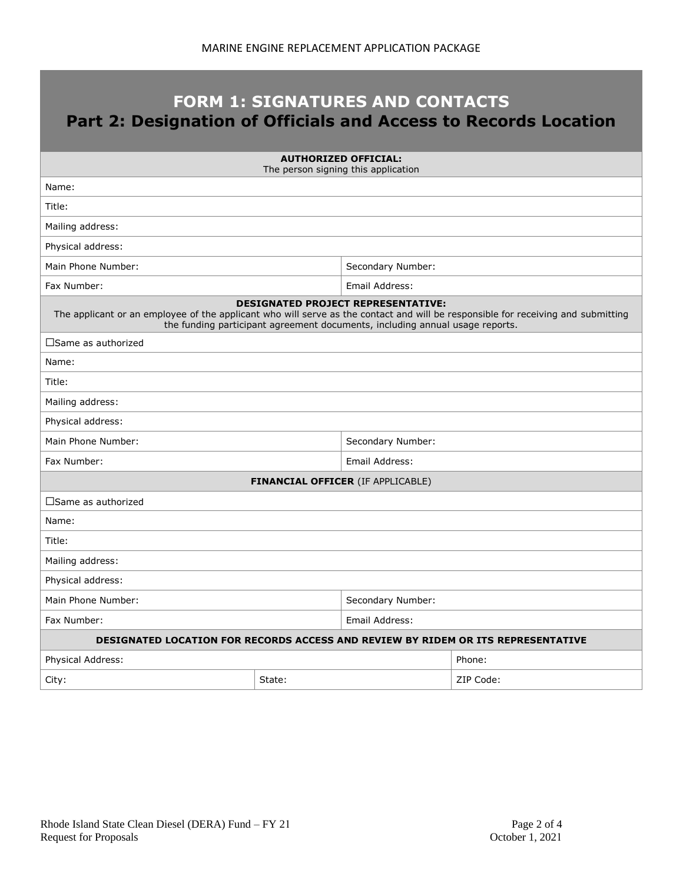## **FORM 1: SIGNATURES AND CONTACTS Part 2: Designation of Officials and Access to Records Location**

| <b>AUTHORIZED OFFICIAL:</b><br>The person signing this application                                                                                                                                                                                            |                   |                                          |           |  |  |
|---------------------------------------------------------------------------------------------------------------------------------------------------------------------------------------------------------------------------------------------------------------|-------------------|------------------------------------------|-----------|--|--|
| Name:                                                                                                                                                                                                                                                         |                   |                                          |           |  |  |
| Title:                                                                                                                                                                                                                                                        |                   |                                          |           |  |  |
| Mailing address:                                                                                                                                                                                                                                              |                   |                                          |           |  |  |
| Physical address:                                                                                                                                                                                                                                             |                   |                                          |           |  |  |
| Main Phone Number:                                                                                                                                                                                                                                            |                   | Secondary Number:                        |           |  |  |
| Fax Number:                                                                                                                                                                                                                                                   |                   | Email Address:                           |           |  |  |
| <b>DESIGNATED PROJECT REPRESENTATIVE:</b><br>The applicant or an employee of the applicant who will serve as the contact and will be responsible for receiving and submitting<br>the funding participant agreement documents, including annual usage reports. |                   |                                          |           |  |  |
| $\square$ Same as authorized                                                                                                                                                                                                                                  |                   |                                          |           |  |  |
| Name:                                                                                                                                                                                                                                                         |                   |                                          |           |  |  |
| Title:                                                                                                                                                                                                                                                        |                   |                                          |           |  |  |
| Mailing address:                                                                                                                                                                                                                                              |                   |                                          |           |  |  |
| Physical address:                                                                                                                                                                                                                                             |                   |                                          |           |  |  |
| Main Phone Number:                                                                                                                                                                                                                                            | Secondary Number: |                                          |           |  |  |
| Fax Number:                                                                                                                                                                                                                                                   | Email Address:    |                                          |           |  |  |
|                                                                                                                                                                                                                                                               |                   | <b>FINANCIAL OFFICER (IF APPLICABLE)</b> |           |  |  |
| $\square$ Same as authorized                                                                                                                                                                                                                                  |                   |                                          |           |  |  |
| Name:                                                                                                                                                                                                                                                         |                   |                                          |           |  |  |
| Title:                                                                                                                                                                                                                                                        |                   |                                          |           |  |  |
| Mailing address:                                                                                                                                                                                                                                              |                   |                                          |           |  |  |
| Physical address:                                                                                                                                                                                                                                             |                   |                                          |           |  |  |
| Main Phone Number:<br>Secondary Number:                                                                                                                                                                                                                       |                   |                                          |           |  |  |
| Fax Number:                                                                                                                                                                                                                                                   | Email Address:    |                                          |           |  |  |
| DESIGNATED LOCATION FOR RECORDS ACCESS AND REVIEW BY RIDEM OR ITS REPRESENTATIVE                                                                                                                                                                              |                   |                                          |           |  |  |
| Physical Address:                                                                                                                                                                                                                                             |                   |                                          | Phone:    |  |  |
| City:                                                                                                                                                                                                                                                         | State:            |                                          | ZIP Code: |  |  |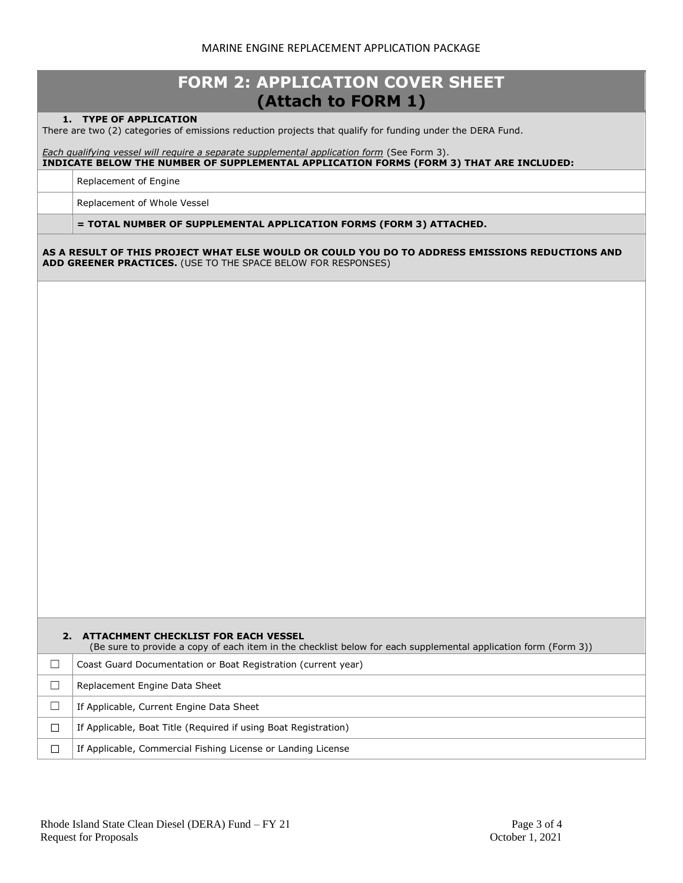## MARINE ENGINE REPLACEMENT APPLICATION PACKAGE

| <b>FORM 2: APPLICATION COVER SHEET</b><br>(Attach to FORM 1) |                                                                                                                                                                                       |  |  |  |
|--------------------------------------------------------------|---------------------------------------------------------------------------------------------------------------------------------------------------------------------------------------|--|--|--|
|                                                              | 1. TYPE OF APPLICATION<br>There are two (2) categories of emissions reduction projects that qualify for funding under the DERA Fund.                                                  |  |  |  |
|                                                              | Each qualifying vessel will require a separate supplemental application form (See Form 3).<br>INDICATE BELOW THE NUMBER OF SUPPLEMENTAL APPLICATION FORMS (FORM 3) THAT ARE INCLUDED: |  |  |  |
|                                                              | Replacement of Engine                                                                                                                                                                 |  |  |  |
|                                                              | Replacement of Whole Vessel                                                                                                                                                           |  |  |  |
|                                                              | = TOTAL NUMBER OF SUPPLEMENTAL APPLICATION FORMS (FORM 3) ATTACHED.                                                                                                                   |  |  |  |
|                                                              | AS A RESULT OF THIS PROJECT WHAT ELSE WOULD OR COULD YOU DO TO ADDRESS EMISSIONS REDUCTIONS AND<br>ADD GREENER PRACTICES. (USE TO THE SPACE BELOW FOR RESPONSES)                      |  |  |  |
|                                                              |                                                                                                                                                                                       |  |  |  |
|                                                              |                                                                                                                                                                                       |  |  |  |
|                                                              |                                                                                                                                                                                       |  |  |  |
|                                                              |                                                                                                                                                                                       |  |  |  |
|                                                              |                                                                                                                                                                                       |  |  |  |
|                                                              |                                                                                                                                                                                       |  |  |  |
|                                                              |                                                                                                                                                                                       |  |  |  |
|                                                              |                                                                                                                                                                                       |  |  |  |
|                                                              |                                                                                                                                                                                       |  |  |  |
|                                                              |                                                                                                                                                                                       |  |  |  |
|                                                              |                                                                                                                                                                                       |  |  |  |
|                                                              |                                                                                                                                                                                       |  |  |  |
|                                                              |                                                                                                                                                                                       |  |  |  |
|                                                              |                                                                                                                                                                                       |  |  |  |
|                                                              |                                                                                                                                                                                       |  |  |  |
|                                                              |                                                                                                                                                                                       |  |  |  |
|                                                              | 2. ATTACHMENT CHECKLIST FOR EACH VESSEL<br>(Be sure to provide a copy of each item in the checklist below for each supplemental application form (Form 3))                            |  |  |  |
| □                                                            | Coast Guard Documentation or Boat Registration (current year)                                                                                                                         |  |  |  |
| □                                                            | Replacement Engine Data Sheet                                                                                                                                                         |  |  |  |
| $\Box$                                                       | If Applicable, Current Engine Data Sheet                                                                                                                                              |  |  |  |
| $\Box$                                                       | If Applicable, Boat Title (Required if using Boat Registration)                                                                                                                       |  |  |  |
| $\Box$                                                       | If Applicable, Commercial Fishing License or Landing License                                                                                                                          |  |  |  |